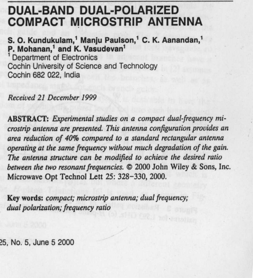# **DUAL**-**BAND DUAL**-**POLARIZED COMPACT MICROSTRIP ANTENNA**

**S. O. Kundukulam**,' **Manju Paulson**,' **C. K. Aanandan,' P. Mohanan** ,' **and K**. **Vasudevan'** 1 Department **of Electronics**

Cochin University **of Science and** Technology Cochin **682 022, India**

**Received 21 December 1999**

**ABSTRACT**: *Experimental studies on a compact dual frequency microstrip antenna are presented. This antenna configuration provides an area reduction of 40% compared to a standard rectangular antenna operating at the same frequency without much degradation of the gain. The antenna structure can be modified to achieve the desired ratio between the two resonant frequencies.* © **2000 John Wiley & Sons, Inc. Microwave Opt Technol Lett 25** : **328-330, 2000.**

**Key words**: *compact; microstrip antenna; dual frequency; dual polarization; frequency ratio*

**25, No**. **5, June 5 2000**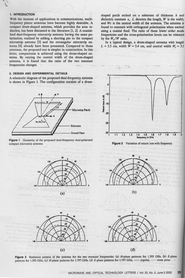## **1. INTRODUCTION**

With the increase of applications in communications, multifrequency planar antennas have become highly desirable. A compact drum-shaped antenna, which provides the area reduction, has been discussed in the literature [1, 2]. A coaxialfeed dual-frequency microstrip antenna having the same polarization, realized by adding a shorting pin to the compact microstrip antenna [3] and the rectangular microstrip antenna [4], already have been presented. Compared to those antennas, the proposed one is simpler in construction. In this letter, compactness is achieved using the drum-shaped an**tenna**. By varying the central width of the drum-shaped antenna, it is found that the ratio of the two resonant frequencies changes.

## **2. DESIGN AND EXPERIMENTAL DETAILS**

A schematic diagram of the proposed dual-frequency **antenna** is shown in Figure 1. The configuration consists of a drum-







In a typical design, a drum-shaped antenna with length  $L = 5.5$  cm, width  $W = 3.4$  cm, and central width  $W_c = 3.5$ 









 $(b)$ 





**Figure 3** Radiation pattern of the antenna for the two resonant frequencies. (a) *H*-plane patterns for 1.593 GHz. (b) *E*-plane patterns for 1.593 GHz. (c) *H*-plane patterns for 1.797 GHz. — copolar, ---- cross polar patterns for 1.593 GHz. (c) H-plane patterns for 1.797 GHz. (d) E-plane patterns for 1.797 GHz. - - copolar, -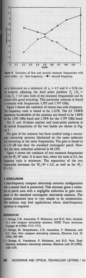



cm is fabricated on a substrate of  $\epsilon_r = 4.5$  and  $h = 0.16$  cm. By properly adjusting the feed point position  $F_p$  ( $X_p =$ 1.2 cm,  $Y_o = 0.9$  cm), both of the resonant frequencies can be excited with good matching. This particular antenna is found to resonate with frequencies 1.593 and 1.797 GHz.

Figure 2 shows the variation of return loss with frequency. The frequency ratio is found to be 1.1278. The 2:1 VSWR impedance bandwidths of the antenna are found to be 1.88% for the 1.593 GHz band and 1.78% for the 1.797 GHz band.

The  $E$ - and  $H$ -plane copolar and cross-polar patterns at the central frequencies of the two bands are shown in Figure 3.

The gain of the antenna has been studied using a rectangular microstrip antenna fabricated on the same substrate and resonating at the same frequencies. The gain is found to be 1.54 dB less than the standard rectangular patch. However, the area reduction achieved is 40.12%.

Figure 4 shows the variation of two resonant frequencies with the  $W_c/W$  ratio. It is seen that, when the ratio is 0.5, the frequency ratio is minimum. The separation of the two frequencies increases for  $W_c/W < 0.5$ , as well as for  $W_c$  $W > 0.5$ .

#### **3. CONCLUSION**

A dual-frequency compact microstrip antenna configuration with a coaxial feed is presented. This antenna gives a reduction in patch area with a negligible reduction in gain compared to the standard rectangular microstrip antenna. The antenna presented here is very simple in its construction. This antenna may find applications where dual-frequency operation is required.

#### **REFERENCES ,**

- 1. J. George, C.K. Aanandan, P. Mohanan, and K.G. Nair, Analysis of a new compact microstrip antenna, IEEE Trans Antennas Propagat 46 (1998), 1712-1713.
- **2. J. George**, **M. Deepukumar** , **C.K. Aanandan**, **P. Mohanan, and** K.G. Nair, New compact microstrip antenna, Electron Lett 32 (1996), 508-509.
- 3. J. George, K. Vasudevan, P. Mohanan, and K.G. Nair, Dual **frequency miniature microstrip antenna** , **Electron Lett 34 (1998),** 1168-1170.

**330 MICROWAVE** AND OPTICAL TECHNOLOGY LETTERS / Vol